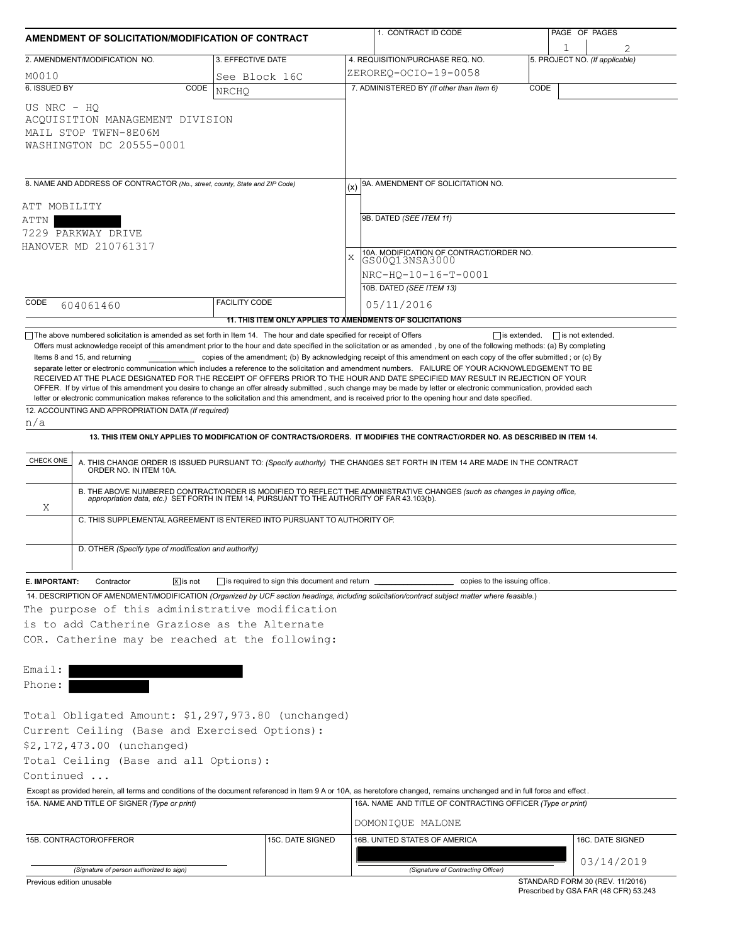| AMENDMENT OF SOLICITATION/MODIFICATION OF CONTRACT                                                                           |                                                | 1. CONTRACT ID CODE                                                                                                                                                                                                                                                                                                                                                                                                                                                                                                                                                                                                                                                                                                                                     | PAGE OF PAGES                               |                           |  |  |  |
|------------------------------------------------------------------------------------------------------------------------------|------------------------------------------------|---------------------------------------------------------------------------------------------------------------------------------------------------------------------------------------------------------------------------------------------------------------------------------------------------------------------------------------------------------------------------------------------------------------------------------------------------------------------------------------------------------------------------------------------------------------------------------------------------------------------------------------------------------------------------------------------------------------------------------------------------------|---------------------------------------------|---------------------------|--|--|--|
| 2. AMENDMENT/MODIFICATION NO.                                                                                                | 3. EFFECTIVE DATE                              | 4. REQUISITION/PURCHASE REQ. NO.                                                                                                                                                                                                                                                                                                                                                                                                                                                                                                                                                                                                                                                                                                                        | 1<br>5. PROJECT NO. (If applicable)         |                           |  |  |  |
| M0010                                                                                                                        | See Block 16C                                  | ZEROREQ-OCIO-19-0058                                                                                                                                                                                                                                                                                                                                                                                                                                                                                                                                                                                                                                                                                                                                    |                                             |                           |  |  |  |
| 6. ISSUED BY<br>CODE                                                                                                         | <b>NRCHO</b>                                   | 7. ADMINISTERED BY (If other than Item 6)                                                                                                                                                                                                                                                                                                                                                                                                                                                                                                                                                                                                                                                                                                               | CODE                                        |                           |  |  |  |
| US NRC - HO<br>ACQUISITION MANAGEMENT DIVISION<br>MAIL STOP TWFN-8E06M<br>WASHINGTON DC 20555-0001                           |                                                |                                                                                                                                                                                                                                                                                                                                                                                                                                                                                                                                                                                                                                                                                                                                                         |                                             |                           |  |  |  |
| 8. NAME AND ADDRESS OF CONTRACTOR (No., street, county, State and ZIP Code)                                                  |                                                | 9A. AMENDMENT OF SOLICITATION NO.<br>(x)                                                                                                                                                                                                                                                                                                                                                                                                                                                                                                                                                                                                                                                                                                                |                                             |                           |  |  |  |
| ATT MOBILITY                                                                                                                 |                                                |                                                                                                                                                                                                                                                                                                                                                                                                                                                                                                                                                                                                                                                                                                                                                         |                                             |                           |  |  |  |
| ATTN<br>7229 PARKWAY DRIVE<br>HANOVER MD 210761317                                                                           |                                                | 9B. DATED (SEE ITEM 11)                                                                                                                                                                                                                                                                                                                                                                                                                                                                                                                                                                                                                                                                                                                                 |                                             |                           |  |  |  |
|                                                                                                                              |                                                |                                                                                                                                                                                                                                                                                                                                                                                                                                                                                                                                                                                                                                                                                                                                                         |                                             |                           |  |  |  |
|                                                                                                                              |                                                |                                                                                                                                                                                                                                                                                                                                                                                                                                                                                                                                                                                                                                                                                                                                                         |                                             | $\rm X$<br>GS00Q13NSA3000 |  |  |  |
|                                                                                                                              |                                                | NRC-HQ-10-16-T-0001                                                                                                                                                                                                                                                                                                                                                                                                                                                                                                                                                                                                                                                                                                                                     |                                             |                           |  |  |  |
|                                                                                                                              |                                                | 10B. DATED (SEE ITEM 13)                                                                                                                                                                                                                                                                                                                                                                                                                                                                                                                                                                                                                                                                                                                                |                                             |                           |  |  |  |
| CODE<br>604061460                                                                                                            | <b>FACILITY CODE</b>                           | 05/11/2016                                                                                                                                                                                                                                                                                                                                                                                                                                                                                                                                                                                                                                                                                                                                              |                                             |                           |  |  |  |
| $\Box$ The above numbered solicitation is amended as set forth in Item 14. The hour and date specified for receipt of Offers |                                                | 11. THIS ITEM ONLY APPLIES TO AMENDMENTS OF SOLICITATIONS                                                                                                                                                                                                                                                                                                                                                                                                                                                                                                                                                                                                                                                                                               | $\Box$ is extended, $\Box$ is not extended. |                           |  |  |  |
| Items 8 and 15, and returning                                                                                                |                                                | copies of the amendment; (b) By acknowledging receipt of this amendment on each copy of the offer submitted; or (c) By<br>separate letter or electronic communication which includes a reference to the solicitation and amendment numbers. FAILURE OF YOUR ACKNOWLEDGEMENT TO BE<br>RECEIVED AT THE PLACE DESIGNATED FOR THE RECEIPT OF OFFERS PRIOR TO THE HOUR AND DATE SPECIFIED MAY RESULT IN REJECTION OF YOUR<br>OFFER. If by virtue of this amendment you desire to change an offer already submitted, such change may be made by letter or electronic communication, provided each<br>letter or electronic communication makes reference to the solicitation and this amendment, and is received prior to the opening hour and date specified. |                                             |                           |  |  |  |
| 12. ACCOUNTING AND APPROPRIATION DATA (If required)<br>n/a                                                                   |                                                |                                                                                                                                                                                                                                                                                                                                                                                                                                                                                                                                                                                                                                                                                                                                                         |                                             |                           |  |  |  |
|                                                                                                                              |                                                | 13. THIS ITEM ONLY APPLIES TO MODIFICATION OF CONTRACTS/ORDERS. IT MODIFIES THE CONTRACT/ORDER NO. AS DESCRIBED IN ITEM 14.                                                                                                                                                                                                                                                                                                                                                                                                                                                                                                                                                                                                                             |                                             |                           |  |  |  |
|                                                                                                                              |                                                |                                                                                                                                                                                                                                                                                                                                                                                                                                                                                                                                                                                                                                                                                                                                                         |                                             |                           |  |  |  |
| CHECK ONE                                                                                                                    |                                                | A. THIS CHANGE ORDER IS ISSUED PURSUANT TO: (Specify authority) THE CHANGES SET FORTH IN ITEM 14 ARE MADE IN THE CONTRACT ORDER NO. IN ITEM 10A.                                                                                                                                                                                                                                                                                                                                                                                                                                                                                                                                                                                                        |                                             |                           |  |  |  |
| Χ                                                                                                                            |                                                | B. THE ABOVE NUMBERED CONTRACT/ORDER IS MODIFIED TO REFLECT THE ADMINISTRATIVE CHANGES (such as changes in paying office, appropriation data, etc.) SET FORTH IN ITEM 14, PURSUANT TO THE AUTHORITY OF FAR 43.103(b).                                                                                                                                                                                                                                                                                                                                                                                                                                                                                                                                   |                                             |                           |  |  |  |
| C. THIS SUPPLEMENTAL AGREEMENT IS ENTERED INTO PURSUANT TO AUTHORITY OF:                                                     |                                                |                                                                                                                                                                                                                                                                                                                                                                                                                                                                                                                                                                                                                                                                                                                                                         |                                             |                           |  |  |  |
| D. OTHER (Specify type of modification and authority)                                                                        |                                                |                                                                                                                                                                                                                                                                                                                                                                                                                                                                                                                                                                                                                                                                                                                                                         |                                             |                           |  |  |  |
| $\sqrt{x}$ is not<br>E. IMPORTANT:<br>Contractor                                                                             | is required to sign this document and return _ | copies to the issuing office.                                                                                                                                                                                                                                                                                                                                                                                                                                                                                                                                                                                                                                                                                                                           |                                             |                           |  |  |  |
|                                                                                                                              |                                                | 14. DESCRIPTION OF AMENDMENT/MODIFICATION (Organized by UCF section headings, including solicitation/contract subject matter where feasible.)                                                                                                                                                                                                                                                                                                                                                                                                                                                                                                                                                                                                           |                                             |                           |  |  |  |
| The purpose of this administrative modification                                                                              |                                                |                                                                                                                                                                                                                                                                                                                                                                                                                                                                                                                                                                                                                                                                                                                                                         |                                             |                           |  |  |  |
| is to add Catherine Graziose as the Alternate                                                                                |                                                |                                                                                                                                                                                                                                                                                                                                                                                                                                                                                                                                                                                                                                                                                                                                                         |                                             |                           |  |  |  |
| COR. Catherine may be reached at the following:                                                                              |                                                |                                                                                                                                                                                                                                                                                                                                                                                                                                                                                                                                                                                                                                                                                                                                                         |                                             |                           |  |  |  |
|                                                                                                                              |                                                |                                                                                                                                                                                                                                                                                                                                                                                                                                                                                                                                                                                                                                                                                                                                                         |                                             |                           |  |  |  |
| Email:                                                                                                                       |                                                |                                                                                                                                                                                                                                                                                                                                                                                                                                                                                                                                                                                                                                                                                                                                                         |                                             |                           |  |  |  |
| Phone:                                                                                                                       |                                                |                                                                                                                                                                                                                                                                                                                                                                                                                                                                                                                                                                                                                                                                                                                                                         |                                             |                           |  |  |  |
|                                                                                                                              |                                                |                                                                                                                                                                                                                                                                                                                                                                                                                                                                                                                                                                                                                                                                                                                                                         |                                             |                           |  |  |  |
| Total Obligated Amount: \$1,297,973.80 (unchanged)                                                                           |                                                |                                                                                                                                                                                                                                                                                                                                                                                                                                                                                                                                                                                                                                                                                                                                                         |                                             |                           |  |  |  |
| Current Ceiling (Base and Exercised Options):                                                                                |                                                |                                                                                                                                                                                                                                                                                                                                                                                                                                                                                                                                                                                                                                                                                                                                                         |                                             |                           |  |  |  |
| \$2,172,473.00 (unchanged)                                                                                                   |                                                |                                                                                                                                                                                                                                                                                                                                                                                                                                                                                                                                                                                                                                                                                                                                                         |                                             |                           |  |  |  |
| Total Ceiling (Base and all Options):                                                                                        |                                                |                                                                                                                                                                                                                                                                                                                                                                                                                                                                                                                                                                                                                                                                                                                                                         |                                             |                           |  |  |  |
| Continued                                                                                                                    |                                                |                                                                                                                                                                                                                                                                                                                                                                                                                                                                                                                                                                                                                                                                                                                                                         |                                             |                           |  |  |  |
| 15A. NAME AND TITLE OF SIGNER (Type or print)                                                                                |                                                | Except as provided herein, all terms and conditions of the document referenced in Item 9 A or 10A, as heretofore changed, remains unchanged and in full force and effect.<br>16A. NAME AND TITLE OF CONTRACTING OFFICER (Type or print)                                                                                                                                                                                                                                                                                                                                                                                                                                                                                                                 |                                             |                           |  |  |  |
|                                                                                                                              |                                                |                                                                                                                                                                                                                                                                                                                                                                                                                                                                                                                                                                                                                                                                                                                                                         |                                             |                           |  |  |  |
|                                                                                                                              |                                                | DOMONIQUE MALONE                                                                                                                                                                                                                                                                                                                                                                                                                                                                                                                                                                                                                                                                                                                                        |                                             |                           |  |  |  |
| 15B. CONTRACTOR/OFFEROR                                                                                                      | 15C. DATE SIGNED                               | 16B. UNITED STATES OF AMERICA                                                                                                                                                                                                                                                                                                                                                                                                                                                                                                                                                                                                                                                                                                                           | 16C. DATE SIGNED                            |                           |  |  |  |
|                                                                                                                              |                                                |                                                                                                                                                                                                                                                                                                                                                                                                                                                                                                                                                                                                                                                                                                                                                         | 03/14/2019                                  |                           |  |  |  |
| (Signature of person authorized to sign)                                                                                     |                                                | (Signature of Contracting Officer)                                                                                                                                                                                                                                                                                                                                                                                                                                                                                                                                                                                                                                                                                                                      |                                             |                           |  |  |  |